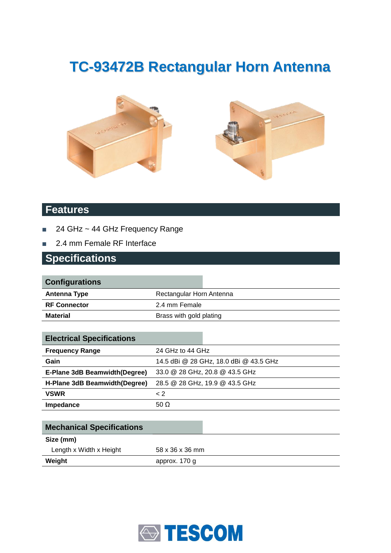# **TC-93472B Rectangular Horn Antenna**





#### **Features**

- 24 GHz ~ 44 GHz Frequency Range
- 2.4 mm Female RF Interface

#### **Specifications**

| <b>Configurations</b> |                          |
|-----------------------|--------------------------|
| Antenna Type          | Rectangular Horn Antenna |
| <b>RF Connector</b>   | 2.4 mm Female            |
| <b>Material</b>       | Brass with gold plating  |
|                       |                          |

| <b>Electrical Specifications</b> |                                |                                        |
|----------------------------------|--------------------------------|----------------------------------------|
| <b>Frequency Range</b>           | 24 GHz to 44 GHz               |                                        |
| Gain                             |                                | 14.5 dBi @ 28 GHz, 18.0 dBi @ 43.5 GHz |
| E-Plane 3dB Beamwidth(Degree)    | 33.0 @ 28 GHz, 20.8 @ 43.5 GHz |                                        |
| H-Plane 3dB Beamwidth (Degree)   | 28.5 @ 28 GHz, 19.9 @ 43.5 GHz |                                        |
| <b>VSWR</b>                      | $\leq$ 2                       |                                        |
| Impedance                        | 50 $\Omega$                    |                                        |

| <b>Mechanical Specifications</b> |                 |
|----------------------------------|-----------------|
| Size (mm)                        |                 |
| Length x Width x Height          | 58 x 36 x 36 mm |
| Weight                           | approx. 170 g   |

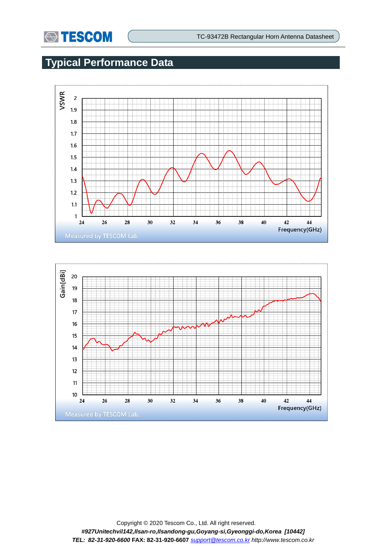

# **Typical Performance Data**



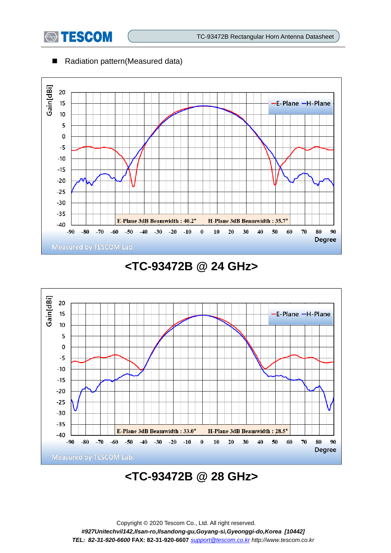

#### ■ Radiation pattern(Measured data)



### **<TC-93472B @ 24 GHz>**



# **<TC-93472B @ 28 GHz>**

Copyright © 2020 Tescom Co., Ltd. All right reserved. *#927Unitechvil142,Ilsan-ro,Ilsandong-gu,Goyang-si,Gyeonggi-do,Korea [10442] TEL: 82-31-920-6600* **FAX: 82-31-920-6607** *[support@tescom.co.kr](mailto:support@tescom.co.kr) http://www.tescom.co.kr*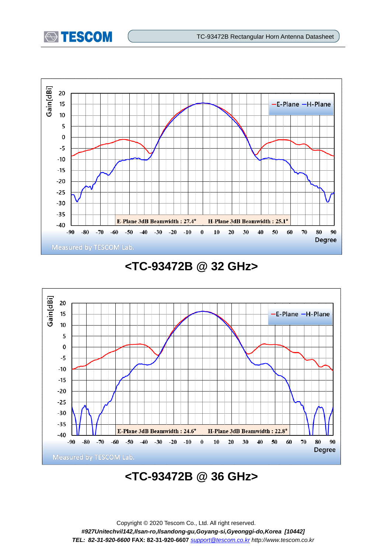



### **<TC-93472B @ 32 GHz>**



# **<TC-93472B @ 36 GHz>**

Copyright © 2020 Tescom Co., Ltd. All right reserved. *#927Unitechvil142,Ilsan-ro,Ilsandong-gu,Goyang-si,Gyeonggi-do,Korea [10442] TEL: 82-31-920-6600* **FAX: 82-31-920-6607** *[support@tescom.co.kr](mailto:support@tescom.co.kr) http://www.tescom.co.kr*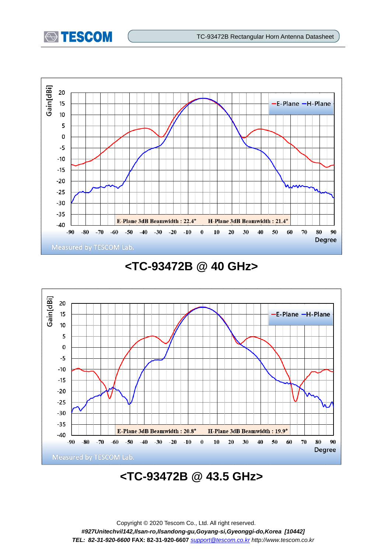



#### **<TC-93472B @ 40 GHz>**



# **<TC-93472B @ 43.5 GHz>**